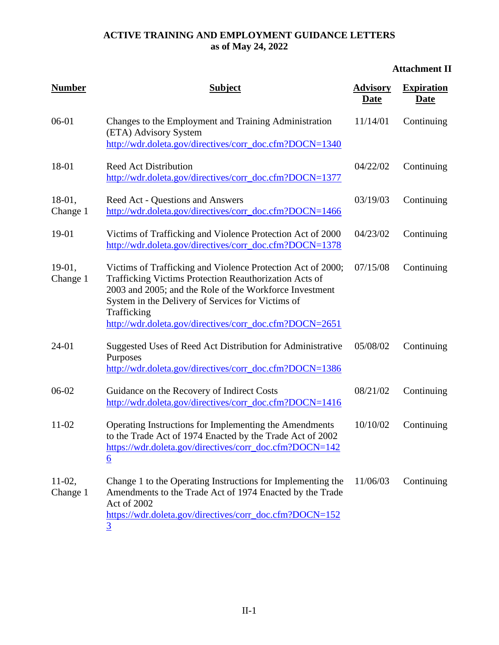# **Attachment II**

| <b>Number</b>        | <b>Subject</b>                                                                                                                                                                                                                                                                                                  | <b>Advisory</b><br>Date | <b>Expiration</b><br><b>Date</b> |
|----------------------|-----------------------------------------------------------------------------------------------------------------------------------------------------------------------------------------------------------------------------------------------------------------------------------------------------------------|-------------------------|----------------------------------|
| 06-01                | Changes to the Employment and Training Administration<br>(ETA) Advisory System<br>http://wdr.doleta.gov/directives/corr_doc.cfm?DOCN=1340                                                                                                                                                                       | 11/14/01                | Continuing                       |
| 18-01                | <b>Reed Act Distribution</b><br>http://wdr.doleta.gov/directives/corr_doc.cfm?DOCN=1377                                                                                                                                                                                                                         | 04/22/02                | Continuing                       |
| $18-01,$<br>Change 1 | Reed Act - Questions and Answers<br>http://wdr.doleta.gov/directives/corr_doc.cfm?DOCN=1466                                                                                                                                                                                                                     | 03/19/03                | Continuing                       |
| 19-01                | Victims of Trafficking and Violence Protection Act of 2000<br>http://wdr.doleta.gov/directives/corr_doc.cfm?DOCN=1378                                                                                                                                                                                           | 04/23/02                | Continuing                       |
| $19-01,$<br>Change 1 | Victims of Trafficking and Violence Protection Act of 2000;<br>Trafficking Victims Protection Reauthorization Acts of<br>2003 and 2005; and the Role of the Workforce Investment<br>System in the Delivery of Services for Victims of<br>Trafficking<br>http://wdr.doleta.gov/directives/corr_doc.cfm?DOCN=2651 | 07/15/08                | Continuing                       |
| 24-01                | Suggested Uses of Reed Act Distribution for Administrative<br>Purposes<br>http://wdr.doleta.gov/directives/corr_doc.cfm?DOCN=1386                                                                                                                                                                               | 05/08/02                | Continuing                       |
| 06-02                | Guidance on the Recovery of Indirect Costs<br>http://wdr.doleta.gov/directives/corr_doc.cfm?DOCN=1416                                                                                                                                                                                                           | 08/21/02                | Continuing                       |
| 11-02                | Operating Instructions for Implementing the Amendments<br>to the Trade Act of 1974 Enacted by the Trade Act of 2002<br>https://wdr.doleta.gov/directives/corr_doc.cfm?DOCN=142<br>$\underline{6}$                                                                                                               | 10/10/02                | Continuing                       |
| $11-02,$<br>Change 1 | Change 1 to the Operating Instructions for Implementing the<br>Amendments to the Trade Act of 1974 Enacted by the Trade<br>Act of 2002<br>https://wdr.doleta.gov/directives/corr_doc.cfm?DOCN=152<br><u>3</u>                                                                                                   | 11/06/03                | Continuing                       |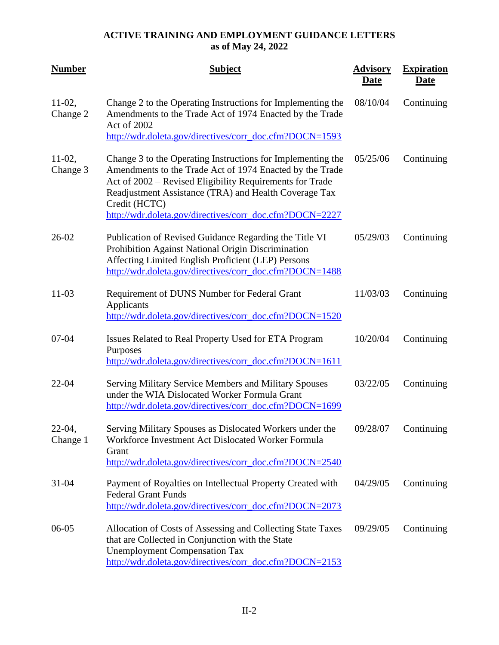| <b>Number</b>         | <b>Subject</b>                                                                                                                                                                                                                                                                                                           | <b>Advisory</b><br><b>Date</b> | <b>Expiration</b><br><b>Date</b> |
|-----------------------|--------------------------------------------------------------------------------------------------------------------------------------------------------------------------------------------------------------------------------------------------------------------------------------------------------------------------|--------------------------------|----------------------------------|
| $11-02$ ,<br>Change 2 | Change 2 to the Operating Instructions for Implementing the<br>Amendments to the Trade Act of 1974 Enacted by the Trade<br>Act of 2002<br>http://wdr.doleta.gov/directives/corr_doc.cfm?DOCN=1593                                                                                                                        | 08/10/04                       | Continuing                       |
| $11-02$ ,<br>Change 3 | Change 3 to the Operating Instructions for Implementing the<br>Amendments to the Trade Act of 1974 Enacted by the Trade<br>Act of 2002 – Revised Eligibility Requirements for Trade<br>Readjustment Assistance (TRA) and Health Coverage Tax<br>Credit (HCTC)<br>http://wdr.doleta.gov/directives/corr_doc.cfm?DOCN=2227 | 05/25/06                       | Continuing                       |
| $26 - 02$             | Publication of Revised Guidance Regarding the Title VI<br>Prohibition Against National Origin Discrimination<br>Affecting Limited English Proficient (LEP) Persons<br>http://wdr.doleta.gov/directives/corr_doc.cfm?DOCN=1488                                                                                            | 05/29/03                       | Continuing                       |
| $11 - 03$             | Requirement of DUNS Number for Federal Grant<br>Applicants<br>http://wdr.doleta.gov/directives/corr_doc.cfm?DOCN=1520                                                                                                                                                                                                    | 11/03/03                       | Continuing                       |
| $07 - 04$             | Issues Related to Real Property Used for ETA Program<br>Purposes<br>http://wdr.doleta.gov/directives/corr_doc.cfm?DOCN=1611                                                                                                                                                                                              | 10/20/04                       | Continuing                       |
| $22 - 04$             | Serving Military Service Members and Military Spouses<br>under the WIA Dislocated Worker Formula Grant<br>http://wdr.doleta.gov/directives/corr_doc.cfm?DOCN=1699                                                                                                                                                        | 03/22/05                       | Continuing                       |
| $22-04,$<br>Change 1  | Serving Military Spouses as Dislocated Workers under the<br>Workforce Investment Act Dislocated Worker Formula<br>Grant<br>http://wdr.doleta.gov/directives/corr_doc.cfm?DOCN=2540                                                                                                                                       | 09/28/07                       | Continuing                       |
| $31 - 04$             | Payment of Royalties on Intellectual Property Created with<br><b>Federal Grant Funds</b><br>http://wdr.doleta.gov/directives/corr_doc.cfm?DOCN=2073                                                                                                                                                                      | 04/29/05                       | Continuing                       |
| $06-05$               | Allocation of Costs of Assessing and Collecting State Taxes<br>that are Collected in Conjunction with the State<br><b>Unemployment Compensation Tax</b><br>http://wdr.doleta.gov/directives/corr_doc.cfm?DOCN=2153                                                                                                       | 09/29/05                       | Continuing                       |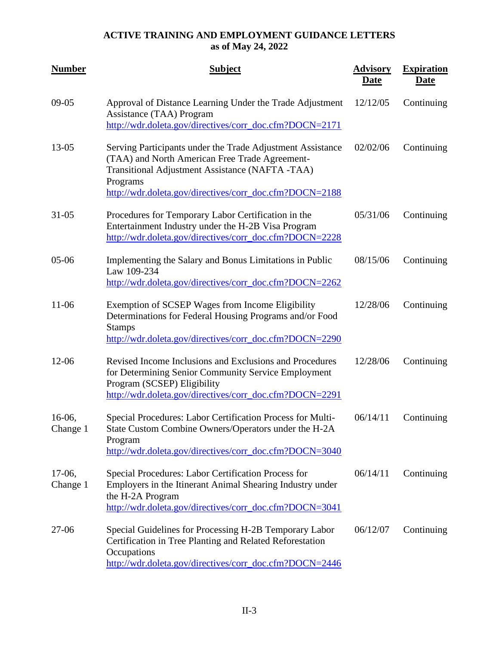| <b>Number</b>         | <b>Subject</b>                                                                                                                                                                                                                         | <b>Advisory</b><br><b>Date</b> | <b>Expiration</b><br><b>Date</b> |
|-----------------------|----------------------------------------------------------------------------------------------------------------------------------------------------------------------------------------------------------------------------------------|--------------------------------|----------------------------------|
| $09-05$               | Approval of Distance Learning Under the Trade Adjustment<br>Assistance (TAA) Program<br>http://wdr.doleta.gov/directives/corr_doc.cfm?DOCN=2171                                                                                        | 12/12/05                       | Continuing                       |
| 13-05                 | Serving Participants under the Trade Adjustment Assistance<br>(TAA) and North American Free Trade Agreement-<br>Transitional Adjustment Assistance (NAFTA -TAA)<br>Programs<br>http://wdr.doleta.gov/directives/corr_doc.cfm?DOCN=2188 | 02/02/06                       | Continuing                       |
| $31 - 05$             | Procedures for Temporary Labor Certification in the<br>Entertainment Industry under the H-2B Visa Program<br>http://wdr.doleta.gov/directives/corr_doc.cfm?DOCN=2228                                                                   | 05/31/06                       | Continuing                       |
| $05 - 06$             | Implementing the Salary and Bonus Limitations in Public<br>Law 109-234<br>http://wdr.doleta.gov/directives/corr_doc.cfm?DOCN=2262                                                                                                      | 08/15/06                       | Continuing                       |
| 11-06                 | Exemption of SCSEP Wages from Income Eligibility<br>Determinations for Federal Housing Programs and/or Food<br><b>Stamps</b><br>http://wdr.doleta.gov/directives/corr_doc.cfm?DOCN=2290                                                | 12/28/06                       | Continuing                       |
| $12 - 06$             | Revised Income Inclusions and Exclusions and Procedures<br>for Determining Senior Community Service Employment<br>Program (SCSEP) Eligibility<br>http://wdr.doleta.gov/directives/corr_doc.cfm?DOCN=2291                               | 12/28/06                       | Continuing                       |
| $16-06$ ,<br>Change 1 | Special Procedures: Labor Certification Process for Multi-<br>State Custom Combine Owners/Operators under the H-2A<br>Program<br>http://wdr.doleta.gov/directives/corr_doc.cfm?DOCN=3040                                               | 06/14/11                       | Continuing                       |
| $17-06$ ,<br>Change 1 | Special Procedures: Labor Certification Process for<br>Employers in the Itinerant Animal Shearing Industry under<br>the H-2A Program<br>http://wdr.doleta.gov/directives/corr_doc.cfm?DOCN=3041                                        | 06/14/11                       | Continuing                       |
| 27-06                 | Special Guidelines for Processing H-2B Temporary Labor<br>Certification in Tree Planting and Related Reforestation<br>Occupations<br>http://wdr.doleta.gov/directives/corr_doc.cfm?DOCN=2446                                           | 06/12/07                       | Continuing                       |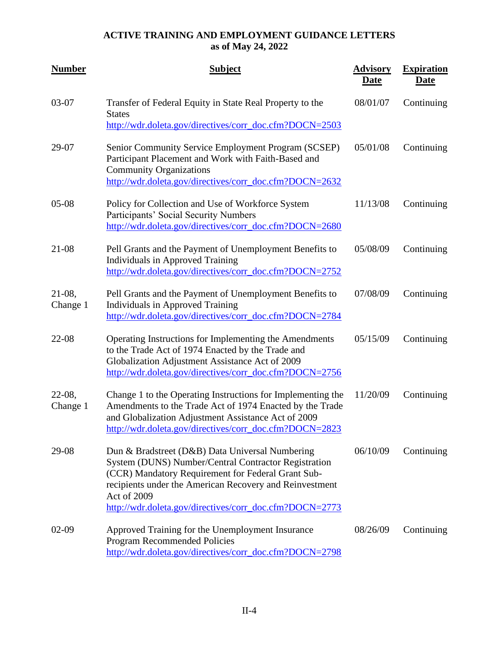| <b>Number</b>         | <b>Subject</b>                                                                                                                                                                                                                                                                                     | <b>Advisory</b><br>Date | <b>Expiration</b><br><u>Date</u> |
|-----------------------|----------------------------------------------------------------------------------------------------------------------------------------------------------------------------------------------------------------------------------------------------------------------------------------------------|-------------------------|----------------------------------|
| 03-07                 | Transfer of Federal Equity in State Real Property to the<br><b>States</b><br>http://wdr.doleta.gov/directives/corr_doc.cfm?DOCN=2503                                                                                                                                                               | 08/01/07                | Continuing                       |
| 29-07                 | Senior Community Service Employment Program (SCSEP)<br>Participant Placement and Work with Faith-Based and<br><b>Community Organizations</b><br>http://wdr.doleta.gov/directives/corr_doc.cfm?DOCN=2632                                                                                            | 05/01/08                | Continuing                       |
| $05-08$               | Policy for Collection and Use of Workforce System<br>Participants' Social Security Numbers<br>http://wdr.doleta.gov/directives/corr_doc.cfm?DOCN=2680                                                                                                                                              | 11/13/08                | Continuing                       |
| $21 - 08$             | Pell Grants and the Payment of Unemployment Benefits to<br><b>Individuals in Approved Training</b><br>http://wdr.doleta.gov/directives/corr_doc.cfm?DOCN=2752                                                                                                                                      | 05/08/09                | Continuing                       |
| $21-08$ ,<br>Change 1 | Pell Grants and the Payment of Unemployment Benefits to<br><b>Individuals in Approved Training</b><br>http://wdr.doleta.gov/directives/corr_doc.cfm?DOCN=2784                                                                                                                                      | 07/08/09                | Continuing                       |
| $22 - 08$             | Operating Instructions for Implementing the Amendments<br>to the Trade Act of 1974 Enacted by the Trade and<br>Globalization Adjustment Assistance Act of 2009<br>http://wdr.doleta.gov/directives/corr_doc.cfm?DOCN=2756                                                                          | 05/15/09                | Continuing                       |
| $22-08,$<br>Change 1  | Change 1 to the Operating Instructions for Implementing the<br>Amendments to the Trade Act of 1974 Enacted by the Trade<br>and Globalization Adjustment Assistance Act of 2009<br>http://wdr.doleta.gov/directives/corr_doc.cfm?DOCN=2823                                                          | 11/20/09                | Continuing                       |
| 29-08                 | Dun & Bradstreet (D&B) Data Universal Numbering<br>System (DUNS) Number/Central Contractor Registration<br>(CCR) Mandatory Requirement for Federal Grant Sub-<br>recipients under the American Recovery and Reinvestment<br>Act of 2009<br>http://wdr.doleta.gov/directives/corr_doc.cfm?DOCN=2773 | 06/10/09                | Continuing                       |
| $02-09$               | Approved Training for the Unemployment Insurance<br>Program Recommended Policies<br>http://wdr.doleta.gov/directives/corr_doc.cfm?DOCN=2798                                                                                                                                                        | 08/26/09                | Continuing                       |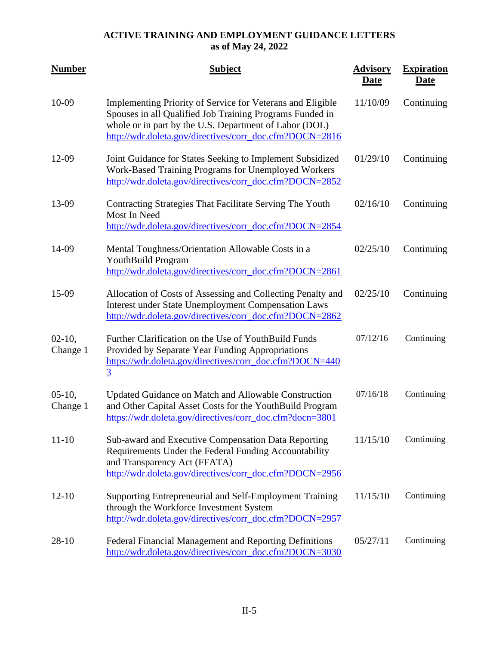| <b>Number</b>        | <b>Subject</b>                                                                                                                                                                                                                              | <b>Advisory</b><br><b>Date</b> | <b>Expiration</b><br><u>Date</u> |
|----------------------|---------------------------------------------------------------------------------------------------------------------------------------------------------------------------------------------------------------------------------------------|--------------------------------|----------------------------------|
| 10-09                | Implementing Priority of Service for Veterans and Eligible<br>Spouses in all Qualified Job Training Programs Funded in<br>whole or in part by the U.S. Department of Labor (DOL)<br>http://wdr.doleta.gov/directives/corr_doc.cfm?DOCN=2816 | 11/10/09                       | Continuing                       |
| 12-09                | Joint Guidance for States Seeking to Implement Subsidized<br>Work-Based Training Programs for Unemployed Workers<br>http://wdr.doleta.gov/directives/corr_doc.cfm?DOCN=2852                                                                 | 01/29/10                       | Continuing                       |
| 13-09                | Contracting Strategies That Facilitate Serving The Youth<br>Most In Need<br>http://wdr.doleta.gov/directives/corr_doc.cfm?DOCN=2854                                                                                                         | 02/16/10                       | Continuing                       |
| 14-09                | Mental Toughness/Orientation Allowable Costs in a<br>YouthBuild Program<br>http://wdr.doleta.gov/directives/corr_doc.cfm?DOCN=2861                                                                                                          | 02/25/10                       | Continuing                       |
| 15-09                | Allocation of Costs of Assessing and Collecting Penalty and<br><b>Interest under State Unemployment Compensation Laws</b><br>http://wdr.doleta.gov/directives/corr_doc.cfm?DOCN=2862                                                        | 02/25/10                       | Continuing                       |
| $02-10,$<br>Change 1 | Further Clarification on the Use of YouthBuild Funds<br>Provided by Separate Year Funding Appropriations<br>https://wdr.doleta.gov/directives/corr_doc.cfm?DOCN=440<br>$\overline{3}$                                                       | 07/12/16                       | Continuing                       |
| $05-10,$<br>Change 1 | Updated Guidance on Match and Allowable Construction<br>and Other Capital Asset Costs for the YouthBuild Program<br>https://wdr.doleta.gov/directives/corr_doc.cfm?docn=3801                                                                | 07/16/18                       | Continuing                       |
| $11 - 10$            | Sub-award and Executive Compensation Data Reporting<br>Requirements Under the Federal Funding Accountability<br>and Transparency Act (FFATA)<br>http://wdr.doleta.gov/directives/corr_doc.cfm?DOCN=2956                                     | 11/15/10                       | Continuing                       |
| $12 - 10$            | Supporting Entrepreneurial and Self-Employment Training<br>through the Workforce Investment System<br>http://wdr.doleta.gov/directives/corr_doc.cfm?DOCN=2957                                                                               | 11/15/10                       | Continuing                       |
| $28-10$              | Federal Financial Management and Reporting Definitions<br>http://wdr.doleta.gov/directives/corr_doc.cfm?DOCN=3030                                                                                                                           | 05/27/11                       | Continuing                       |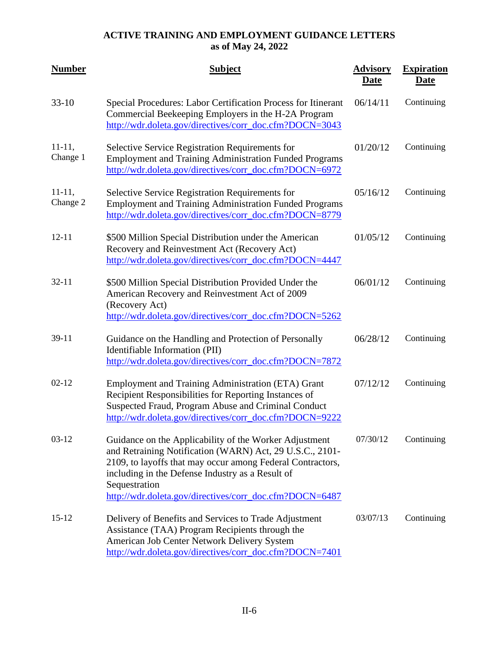| <b>Number</b>        | <b>Subject</b>                                                                                                                                                                                                                                                                                                   | <b>Advisory</b><br><u>Date</u> | <b>Expiration</b><br><b>Date</b> |
|----------------------|------------------------------------------------------------------------------------------------------------------------------------------------------------------------------------------------------------------------------------------------------------------------------------------------------------------|--------------------------------|----------------------------------|
| $33-10$              | Special Procedures: Labor Certification Process for Itinerant<br>Commercial Beekeeping Employers in the H-2A Program<br>http://wdr.doleta.gov/directives/corr_doc.cfm?DOCN=3043                                                                                                                                  | 06/14/11                       | Continuing                       |
| $11-11,$<br>Change 1 | Selective Service Registration Requirements for<br><b>Employment and Training Administration Funded Programs</b><br>http://wdr.doleta.gov/directives/corr_doc.cfm?DOCN=6972                                                                                                                                      | 01/20/12                       | Continuing                       |
| $11-11,$<br>Change 2 | Selective Service Registration Requirements for<br><b>Employment and Training Administration Funded Programs</b><br>http://wdr.doleta.gov/directives/corr_doc.cfm?DOCN=8779                                                                                                                                      | 05/16/12                       | Continuing                       |
| $12 - 11$            | \$500 Million Special Distribution under the American<br>Recovery and Reinvestment Act (Recovery Act)<br>http://wdr.doleta.gov/directives/corr_doc.cfm?DOCN=4447                                                                                                                                                 | 01/05/12                       | Continuing                       |
| $32 - 11$            | \$500 Million Special Distribution Provided Under the<br>American Recovery and Reinvestment Act of 2009<br>(Recovery Act)<br>http://wdr.doleta.gov/directives/corr_doc.cfm?DOCN=5262                                                                                                                             | 06/01/12                       | Continuing                       |
| $39-11$              | Guidance on the Handling and Protection of Personally<br>Identifiable Information (PII)<br>http://wdr.doleta.gov/directives/corr_doc.cfm?DOCN=7872                                                                                                                                                               | 06/28/12                       | Continuing                       |
| $02 - 12$            | <b>Employment and Training Administration (ETA) Grant</b><br>Recipient Responsibilities for Reporting Instances of<br>Suspected Fraud, Program Abuse and Criminal Conduct<br>http://wdr.doleta.gov/directives/corr_doc.cfm?DOCN=9222                                                                             | 07/12/12                       | Continuing                       |
| $03-12$              | Guidance on the Applicability of the Worker Adjustment<br>and Retraining Notification (WARN) Act, 29 U.S.C., 2101-<br>2109, to layoffs that may occur among Federal Contractors,<br>including in the Defense Industry as a Result of<br>Sequestration<br>http://wdr.doleta.gov/directives/corr_doc.cfm?DOCN=6487 | 07/30/12                       | Continuing                       |
| $15 - 12$            | Delivery of Benefits and Services to Trade Adjustment<br>Assistance (TAA) Program Recipients through the<br>American Job Center Network Delivery System<br>http://wdr.doleta.gov/directives/corr_doc.cfm?DOCN=7401                                                                                               | 03/07/13                       | Continuing                       |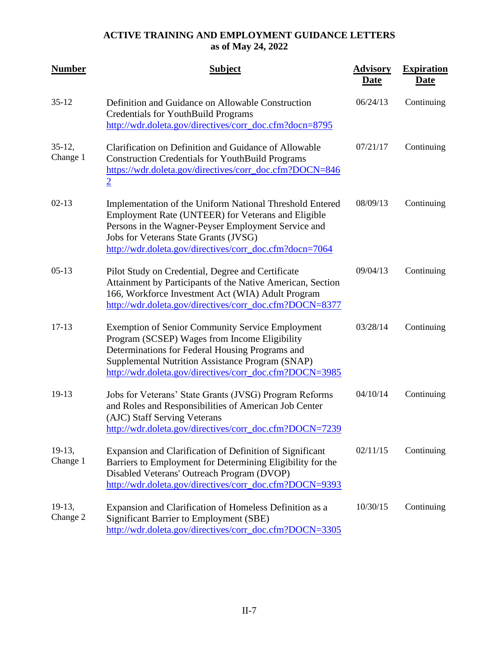| <b>Number</b>        | <b>Subject</b>                                                                                                                                                                                                                                                             | <b>Advisory</b><br><b>Date</b> | <b>Expiration</b><br><b>Date</b> |
|----------------------|----------------------------------------------------------------------------------------------------------------------------------------------------------------------------------------------------------------------------------------------------------------------------|--------------------------------|----------------------------------|
| $35 - 12$            | Definition and Guidance on Allowable Construction<br><b>Credentials for YouthBuild Programs</b><br>http://wdr.doleta.gov/directives/corr_doc.cfm?docn=8795                                                                                                                 | 06/24/13                       | Continuing                       |
| $35-12,$<br>Change 1 | Clarification on Definition and Guidance of Allowable<br><b>Construction Credentials for YouthBuild Programs</b><br>https://wdr.doleta.gov/directives/corr_doc.cfm?DOCN=846<br>$\overline{2}$                                                                              | 07/21/17                       | Continuing                       |
| $02 - 13$            | Implementation of the Uniform National Threshold Entered<br>Employment Rate (UNTEER) for Veterans and Eligible<br>Persons in the Wagner-Peyser Employment Service and<br>Jobs for Veterans State Grants (JVSG)<br>http://wdr.doleta.gov/directives/corr_doc.cfm?docn=7064  | 08/09/13                       | Continuing                       |
| $05-13$              | Pilot Study on Credential, Degree and Certificate<br>Attainment by Participants of the Native American, Section<br>166, Workforce Investment Act (WIA) Adult Program<br>http://wdr.doleta.gov/directives/corr_doc.cfm?DOCN=8377                                            | 09/04/13                       | Continuing                       |
| $17 - 13$            | <b>Exemption of Senior Community Service Employment</b><br>Program (SCSEP) Wages from Income Eligibility<br>Determinations for Federal Housing Programs and<br>Supplemental Nutrition Assistance Program (SNAP)<br>http://wdr.doleta.gov/directives/corr_doc.cfm?DOCN=3985 | 03/28/14                       | Continuing                       |
| 19-13                | Jobs for Veterans' State Grants (JVSG) Program Reforms<br>and Roles and Responsibilities of American Job Center<br>(AJC) Staff Serving Veterans<br>http://wdr.doleta.gov/directives/corr_doc.cfm?DOCN=7239                                                                 | 04/10/14                       | Continuing                       |
| $19-13,$<br>Change 1 | Expansion and Clarification of Definition of Significant<br>Barriers to Employment for Determining Eligibility for the<br>Disabled Veterans' Outreach Program (DVOP)<br>http://wdr.doleta.gov/directives/corr_doc.cfm?DOCN=9393                                            | 02/11/15                       | Continuing                       |
| 19-13,<br>Change 2   | Expansion and Clarification of Homeless Definition as a<br><b>Significant Barrier to Employment (SBE)</b><br>http://wdr.doleta.gov/directives/corr_doc.cfm?DOCN=3305                                                                                                       | 10/30/15                       | Continuing                       |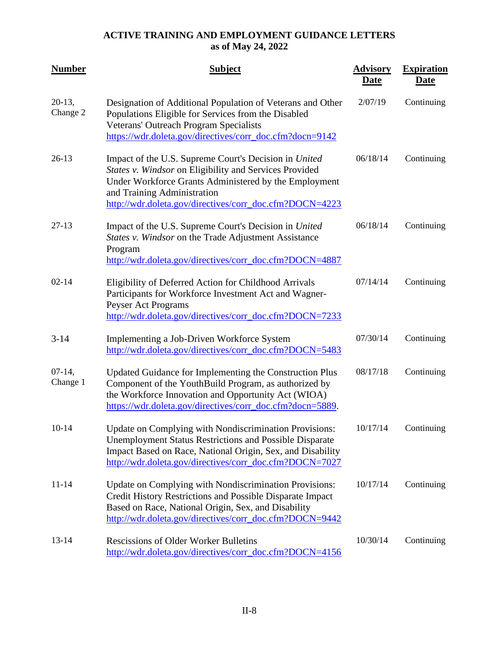| <b>Number</b>         | <b>Subject</b>                                                                                                                                                                                                                                                     | <b>Advisory</b><br><b>Date</b> | <b>Expiration</b><br><b>Date</b> |
|-----------------------|--------------------------------------------------------------------------------------------------------------------------------------------------------------------------------------------------------------------------------------------------------------------|--------------------------------|----------------------------------|
| $20-13$ ,<br>Change 2 | Designation of Additional Population of Veterans and Other<br>Populations Eligible for Services from the Disabled<br>Veterans' Outreach Program Specialists<br>https://wdr.doleta.gov/directives/corr_doc.cfm?docn=9142                                            | 2/07/19                        | Continuing                       |
| $26-13$               | Impact of the U.S. Supreme Court's Decision in United<br>States v. Windsor on Eligibility and Services Provided<br>Under Workforce Grants Administered by the Employment<br>and Training Administration<br>http://wdr.doleta.gov/directives/corr_doc.cfm?DOCN=4223 | 06/18/14                       | Continuing                       |
| $27-13$               | Impact of the U.S. Supreme Court's Decision in United<br>States v. Windsor on the Trade Adjustment Assistance<br>Program<br>http://wdr.doleta.gov/directives/corr_doc.cfm?DOCN=4887                                                                                | 06/18/14                       | Continuing                       |
| $02 - 14$             | Eligibility of Deferred Action for Childhood Arrivals<br>Participants for Workforce Investment Act and Wagner-<br>Peyser Act Programs<br>http://wdr.doleta.gov/directives/corr_doc.cfm?DOCN=7233                                                                   | 07/14/14                       | Continuing                       |
| $3 - 14$              | Implementing a Job-Driven Workforce System<br>http://wdr.doleta.gov/directives/corr_doc.cfm?DOCN=5483                                                                                                                                                              | 07/30/14                       | Continuing                       |
| $07-14,$<br>Change 1  | Updated Guidance for Implementing the Construction Plus<br>Component of the YouthBuild Program, as authorized by<br>the Workforce Innovation and Opportunity Act (WIOA)<br>https://wdr.doleta.gov/directives/corr_doc.cfm?docn=5889.                               | 08/17/18                       | Continuing                       |
| $10 - 14$             | Update on Complying with Nondiscrimination Provisions:<br><b>Unemployment Status Restrictions and Possible Disparate</b><br>Impact Based on Race, National Origin, Sex, and Disability<br>http://wdr.doleta.gov/directives/corr_doc.cfm?DOCN=7027                  | 10/17/14                       | Continuing                       |
| $11 - 14$             | Update on Complying with Nondiscrimination Provisions:<br>Credit History Restrictions and Possible Disparate Impact<br>Based on Race, National Origin, Sex, and Disability<br>http://wdr.doleta.gov/directives/corr_doc.cfm?DOCN=9442                              | 10/17/14                       | Continuing                       |
| $13 - 14$             | <b>Rescissions of Older Worker Bulletins</b><br>http://wdr.doleta.gov/directives/corr_doc.cfm?DOCN=4156                                                                                                                                                            | 10/30/14                       | Continuing                       |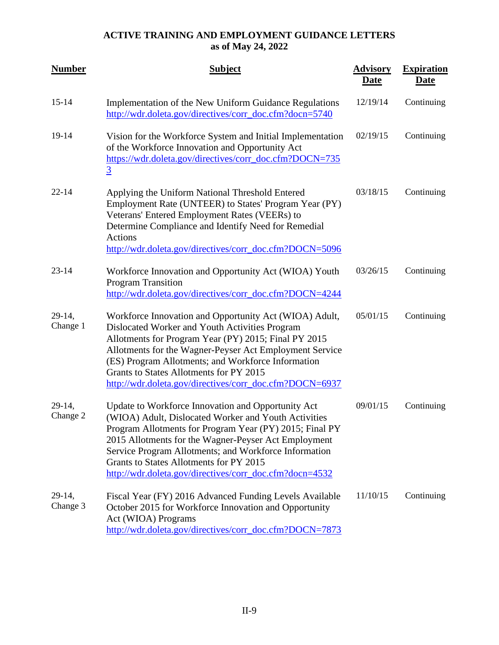| <b>Number</b>      | <b>Subject</b>                                                                                                                                                                                                                                                                                                                                                                               | <b>Advisory</b><br><b>Date</b> | <b>Expiration</b><br><b>Date</b> |
|--------------------|----------------------------------------------------------------------------------------------------------------------------------------------------------------------------------------------------------------------------------------------------------------------------------------------------------------------------------------------------------------------------------------------|--------------------------------|----------------------------------|
| $15 - 14$          | Implementation of the New Uniform Guidance Regulations<br>http://wdr.doleta.gov/directives/corr_doc.cfm?docn=5740                                                                                                                                                                                                                                                                            | 12/19/14                       | Continuing                       |
| 19-14              | Vision for the Workforce System and Initial Implementation<br>of the Workforce Innovation and Opportunity Act<br>https://wdr.doleta.gov/directives/corr_doc.cfm?DOCN=735<br>$\overline{3}$                                                                                                                                                                                                   | 02/19/15                       | Continuing                       |
| $22 - 14$          | Applying the Uniform National Threshold Entered<br>Employment Rate (UNTEER) to States' Program Year (PY)<br>Veterans' Entered Employment Rates (VEERs) to<br>Determine Compliance and Identify Need for Remedial<br><b>Actions</b><br>http://wdr.doleta.gov/directives/corr_doc.cfm?DOCN=5096                                                                                                | 03/18/15                       | Continuing                       |
| $23 - 14$          | Workforce Innovation and Opportunity Act (WIOA) Youth<br><b>Program Transition</b><br>http://wdr.doleta.gov/directives/corr_doc.cfm?DOCN=4244                                                                                                                                                                                                                                                | 03/26/15                       | Continuing                       |
| 29-14,<br>Change 1 | Workforce Innovation and Opportunity Act (WIOA) Adult,<br>Dislocated Worker and Youth Activities Program<br>Allotments for Program Year (PY) 2015; Final PY 2015<br>Allotments for the Wagner-Peyser Act Employment Service<br>(ES) Program Allotments; and Workforce Information<br>Grants to States Allotments for PY 2015<br>http://wdr.doleta.gov/directives/corr_doc.cfm?DOCN=6937      | 05/01/15                       | Continuing                       |
| 29-14,<br>Change 2 | Update to Workforce Innovation and Opportunity Act<br>(WIOA) Adult, Dislocated Worker and Youth Activities<br>Program Allotments for Program Year (PY) 2015; Final PY<br>2015 Allotments for the Wagner-Peyser Act Employment<br>Service Program Allotments; and Workforce Information<br>Grants to States Allotments for PY 2015<br>http://wdr.doleta.gov/directives/corr_doc.cfm?docn=4532 | 09/01/15                       | Continuing                       |
| 29-14,<br>Change 3 | Fiscal Year (FY) 2016 Advanced Funding Levels Available<br>October 2015 for Workforce Innovation and Opportunity<br>Act (WIOA) Programs<br>http://wdr.doleta.gov/directives/corr_doc.cfm?DOCN=7873                                                                                                                                                                                           | 11/10/15                       | Continuing                       |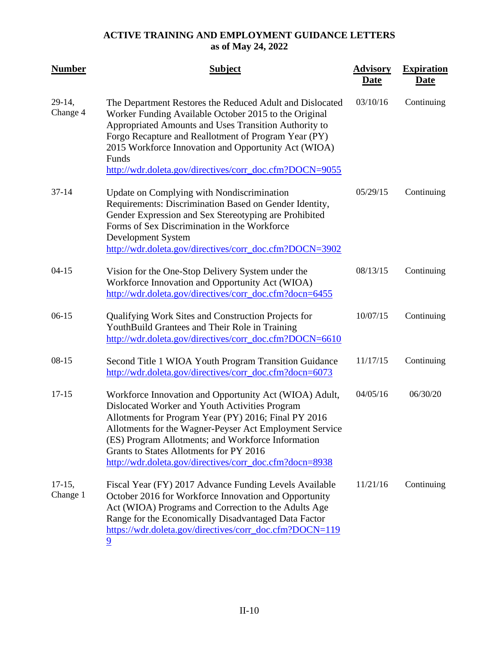| <b>Number</b>        | <b>Subject</b>                                                                                                                                                                                                                                                                                                                                                                          | <b>Advisory</b><br><b>Date</b> | <b>Expiration</b><br><b>Date</b> |
|----------------------|-----------------------------------------------------------------------------------------------------------------------------------------------------------------------------------------------------------------------------------------------------------------------------------------------------------------------------------------------------------------------------------------|--------------------------------|----------------------------------|
| 29-14,<br>Change 4   | The Department Restores the Reduced Adult and Dislocated<br>Worker Funding Available October 2015 to the Original<br>Appropriated Amounts and Uses Transition Authority to<br>Forgo Recapture and Reallotment of Program Year (PY)<br>2015 Workforce Innovation and Opportunity Act (WIOA)<br>Funds<br>http://wdr.doleta.gov/directives/corr_doc.cfm?DOCN=9055                          | 03/10/16                       | Continuing                       |
| $37 - 14$            | Update on Complying with Nondiscrimination<br>Requirements: Discrimination Based on Gender Identity,<br>Gender Expression and Sex Stereotyping are Prohibited<br>Forms of Sex Discrimination in the Workforce<br>Development System<br>http://wdr.doleta.gov/directives/corr_doc.cfm?DOCN=3902                                                                                          | 05/29/15                       | Continuing                       |
| $04-15$              | Vision for the One-Stop Delivery System under the<br>Workforce Innovation and Opportunity Act (WIOA)<br>http://wdr.doleta.gov/directives/corr_doc.cfm?docn=6455                                                                                                                                                                                                                         | 08/13/15                       | Continuing                       |
| $06-15$              | Qualifying Work Sites and Construction Projects for<br>YouthBuild Grantees and Their Role in Training<br>http://wdr.doleta.gov/directives/corr_doc.cfm?DOCN=6610                                                                                                                                                                                                                        | 10/07/15                       | Continuing                       |
| $08-15$              | Second Title 1 WIOA Youth Program Transition Guidance<br>http://wdr.doleta.gov/directives/corr_doc.cfm?docn=6073                                                                                                                                                                                                                                                                        | 11/17/15                       | Continuing                       |
| $17 - 15$            | Workforce Innovation and Opportunity Act (WIOA) Adult,<br>Dislocated Worker and Youth Activities Program<br>Allotments for Program Year (PY) 2016; Final PY 2016<br>Allotments for the Wagner-Peyser Act Employment Service<br>(ES) Program Allotments; and Workforce Information<br>Grants to States Allotments for PY 2016<br>http://wdr.doleta.gov/directives/corr_doc.cfm?docn=8938 | 04/05/16                       | 06/30/20                         |
| $17-15,$<br>Change 1 | Fiscal Year (FY) 2017 Advance Funding Levels Available<br>October 2016 for Workforce Innovation and Opportunity<br>Act (WIOA) Programs and Correction to the Adults Age<br>Range for the Economically Disadvantaged Data Factor<br>https://wdr.doleta.gov/directives/corr_doc.cfm?DOCN=119<br>9                                                                                         | 11/21/16                       | Continuing                       |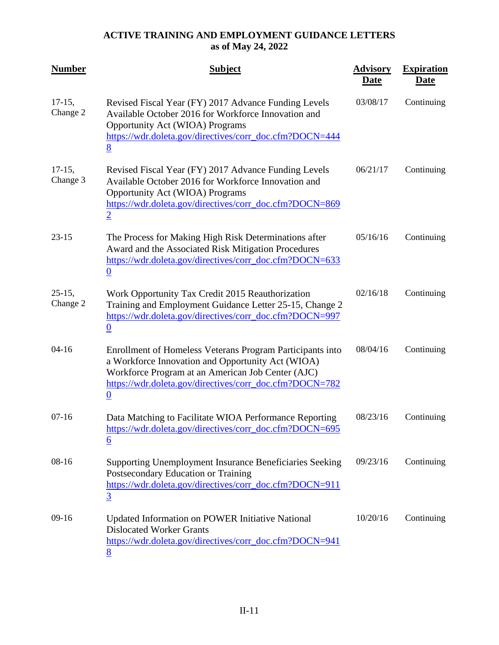| <b>Number</b>         | <b>Subject</b>                                                                                                                                                                                                                                     | <b>Advisory</b><br><b>Date</b> | <b>Expiration</b><br><b>Date</b> |
|-----------------------|----------------------------------------------------------------------------------------------------------------------------------------------------------------------------------------------------------------------------------------------------|--------------------------------|----------------------------------|
| $17-15,$<br>Change 2  | Revised Fiscal Year (FY) 2017 Advance Funding Levels<br>Available October 2016 for Workforce Innovation and<br><b>Opportunity Act (WIOA) Programs</b><br>https://wdr.doleta.gov/directives/corr_doc.cfm?DOCN=444<br>8                              | 03/08/17                       | Continuing                       |
| $17-15$ ,<br>Change 3 | Revised Fiscal Year (FY) 2017 Advance Funding Levels<br>Available October 2016 for Workforce Innovation and<br><b>Opportunity Act (WIOA) Programs</b><br>https://wdr.doleta.gov/directives/corr_doc.cfm?DOCN=869<br>$\overline{2}$                 | 06/21/17                       | Continuing                       |
| $23 - 15$             | The Process for Making High Risk Determinations after<br>Award and the Associated Risk Mitigation Procedures<br>https://wdr.doleta.gov/directives/corr_doc.cfm?DOCN=633<br>$\overline{0}$                                                          | 05/16/16                       | Continuing                       |
| $25-15,$<br>Change 2  | Work Opportunity Tax Credit 2015 Reauthorization<br>Training and Employment Guidance Letter 25-15, Change 2<br>https://wdr.doleta.gov/directives/corr_doc.cfm?DOCN=997<br>$\boldsymbol{0}$                                                         | 02/16/18                       | Continuing                       |
| $04-16$               | Enrollment of Homeless Veterans Program Participants into<br>a Workforce Innovation and Opportunity Act (WIOA)<br>Workforce Program at an American Job Center (AJC)<br>https://wdr.doleta.gov/directives/corr_doc.cfm?DOCN=782<br>$\boldsymbol{0}$ | 08/04/16                       | Continuing                       |
| $07 - 16$             | Data Matching to Facilitate WIOA Performance Reporting<br>https://wdr.doleta.gov/directives/corr_doc.cfm?DOCN=695<br>$\underline{6}$                                                                                                               | 08/23/16                       | Continuing                       |
| $08-16$               | Supporting Unemployment Insurance Beneficiaries Seeking<br>Postsecondary Education or Training<br>https://wdr.doleta.gov/directives/corr_doc.cfm?DOCN=911<br>$\overline{3}$                                                                        | 09/23/16                       | Continuing                       |
| $09-16$               | Updated Information on POWER Initiative National<br><b>Dislocated Worker Grants</b><br>https://wdr.doleta.gov/directives/corr_doc.cfm?DOCN=941<br>8                                                                                                | 10/20/16                       | Continuing                       |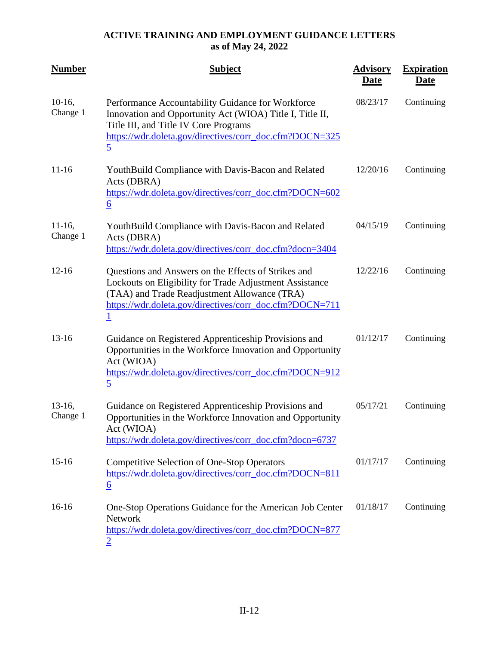| <b>Number</b>         | <b>Subject</b>                                                                                                                                                                                                                      | <b>Advisory</b><br><b>Date</b> | <b>Expiration</b><br><u>Date</u> |
|-----------------------|-------------------------------------------------------------------------------------------------------------------------------------------------------------------------------------------------------------------------------------|--------------------------------|----------------------------------|
| $10-16,$<br>Change 1  | Performance Accountability Guidance for Workforce<br>Innovation and Opportunity Act (WIOA) Title I, Title II,<br>Title III, and Title IV Core Programs<br>https://wdr.doleta.gov/directives/corr_doc.cfm?DOCN=325<br>$\overline{5}$ | 08/23/17                       | Continuing                       |
| $11 - 16$             | YouthBuild Compliance with Davis-Bacon and Related<br>Acts (DBRA)<br>https://wdr.doleta.gov/directives/corr_doc.cfm?DOCN=602<br>$\underline{6}$                                                                                     | 12/20/16                       | Continuing                       |
| $11-16$ ,<br>Change 1 | YouthBuild Compliance with Davis-Bacon and Related<br>Acts (DBRA)<br>https://wdr.doleta.gov/directives/corr_doc.cfm?docn=3404                                                                                                       | 04/15/19                       | Continuing                       |
| $12 - 16$             | Questions and Answers on the Effects of Strikes and<br>Lockouts on Eligibility for Trade Adjustment Assistance<br>(TAA) and Trade Readjustment Allowance (TRA)<br>https://wdr.doleta.gov/directives/corr_doc.cfm?DOCN=711           | 12/22/16                       | Continuing                       |
| $13 - 16$             | Guidance on Registered Apprenticeship Provisions and<br>Opportunities in the Workforce Innovation and Opportunity<br>Act (WIOA)<br>https://wdr.doleta.gov/directives/corr_doc.cfm?DOCN=912<br>$\overline{5}$                        | 01/12/17                       | Continuing                       |
| $13-16$ ,<br>Change 1 | Guidance on Registered Apprenticeship Provisions and<br>Opportunities in the Workforce Innovation and Opportunity<br>Act (WIOA)<br>https://wdr.doleta.gov/directives/corr_doc.cfm?docn=6737                                         | 05/17/21                       | Continuing                       |
| $15 - 16$             | <b>Competitive Selection of One-Stop Operators</b><br>https://wdr.doleta.gov/directives/corr_doc.cfm?DOCN=811<br>$\underline{6}$                                                                                                    | 01/17/17                       | Continuing                       |
| $16-16$               | One-Stop Operations Guidance for the American Job Center<br><b>Network</b><br>https://wdr.doleta.gov/directives/corr_doc.cfm?DOCN=877                                                                                               | 01/18/17                       | Continuing                       |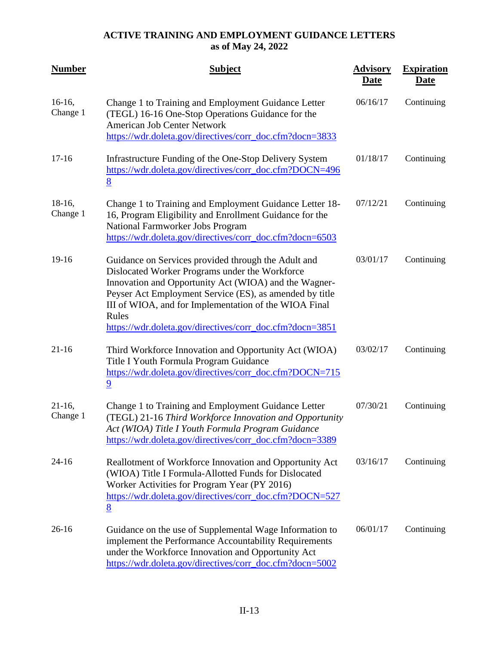| <b>Number</b>         | <b>Subject</b>                                                                                                                                                                                                                                                                                                                                          | <b>Advisory</b><br><b>Date</b> | <b>Expiration</b><br><b>Date</b> |
|-----------------------|---------------------------------------------------------------------------------------------------------------------------------------------------------------------------------------------------------------------------------------------------------------------------------------------------------------------------------------------------------|--------------------------------|----------------------------------|
| $16-16,$<br>Change 1  | Change 1 to Training and Employment Guidance Letter<br>(TEGL) 16-16 One-Stop Operations Guidance for the<br><b>American Job Center Network</b><br>https://wdr.doleta.gov/directives/corr_doc.cfm?docn=3833                                                                                                                                              | 06/16/17                       | Continuing                       |
| $17-16$               | Infrastructure Funding of the One-Stop Delivery System<br>https://wdr.doleta.gov/directives/corr_doc.cfm?DOCN=496<br>8                                                                                                                                                                                                                                  | 01/18/17                       | Continuing                       |
| $18-16,$<br>Change 1  | Change 1 to Training and Employment Guidance Letter 18-<br>16, Program Eligibility and Enrollment Guidance for the<br>National Farmworker Jobs Program<br>https://wdr.doleta.gov/directives/corr_doc.cfm?docn=6503                                                                                                                                      | 07/12/21                       | Continuing                       |
| 19-16                 | Guidance on Services provided through the Adult and<br>Dislocated Worker Programs under the Workforce<br>Innovation and Opportunity Act (WIOA) and the Wagner-<br>Peyser Act Employment Service (ES), as amended by title<br>III of WIOA, and for Implementation of the WIOA Final<br>Rules<br>https://wdr.doleta.gov/directives/corr_doc.cfm?docn=3851 | 03/01/17                       | Continuing                       |
| $21 - 16$             | Third Workforce Innovation and Opportunity Act (WIOA)<br>Title I Youth Formula Program Guidance<br>https://wdr.doleta.gov/directives/corr_doc.cfm?DOCN=715<br>$\overline{9}$                                                                                                                                                                            | 03/02/17                       | Continuing                       |
| $21-16$ ,<br>Change 1 | Change 1 to Training and Employment Guidance Letter<br>(TEGL) 21-16 Third Workforce Innovation and Opportunity<br>Act (WIOA) Title I Youth Formula Program Guidance<br>https://wdr.doleta.gov/directives/corr_doc.cfm?docn=3389                                                                                                                         | 07/30/21                       | Continuing                       |
| $24 - 16$             | Reallotment of Workforce Innovation and Opportunity Act<br>(WIOA) Title I Formula-Allotted Funds for Dislocated<br>Worker Activities for Program Year (PY 2016)<br>https://wdr.doleta.gov/directives/corr_doc.cfm?DOCN=527<br>8                                                                                                                         | 03/16/17                       | Continuing                       |
| $26-16$               | Guidance on the use of Supplemental Wage Information to<br>implement the Performance Accountability Requirements<br>under the Workforce Innovation and Opportunity Act<br>https://wdr.doleta.gov/directives/corr_doc.cfm?docn=5002                                                                                                                      | 06/01/17                       | Continuing                       |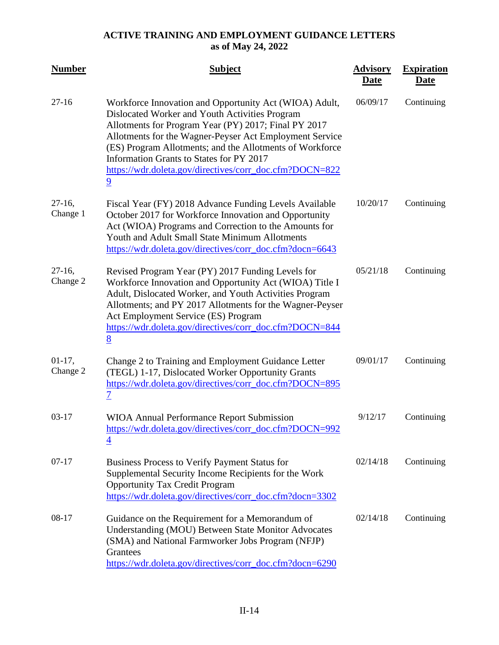| <b>Number</b>         | <b>Subject</b>                                                                                                                                                                                                                                                                                                                                                                                                   | <b>Advisory</b><br><b>Date</b> | <b>Expiration</b><br><b>Date</b> |
|-----------------------|------------------------------------------------------------------------------------------------------------------------------------------------------------------------------------------------------------------------------------------------------------------------------------------------------------------------------------------------------------------------------------------------------------------|--------------------------------|----------------------------------|
| $27 - 16$             | Workforce Innovation and Opportunity Act (WIOA) Adult,<br>Dislocated Worker and Youth Activities Program<br>Allotments for Program Year (PY) 2017; Final PY 2017<br>Allotments for the Wagner-Peyser Act Employment Service<br>(ES) Program Allotments; and the Allotments of Workforce<br>Information Grants to States for PY 2017<br>https://wdr.doleta.gov/directives/corr_doc.cfm?DOCN=822<br>$\overline{9}$ | 06/09/17                       | Continuing                       |
| $27-16$ ,<br>Change 1 | Fiscal Year (FY) 2018 Advance Funding Levels Available<br>October 2017 for Workforce Innovation and Opportunity<br>Act (WIOA) Programs and Correction to the Amounts for<br>Youth and Adult Small State Minimum Allotments<br>https://wdr.doleta.gov/directives/corr_doc.cfm?docn=6643                                                                                                                           | 10/20/17                       | Continuing                       |
| $27-16$ ,<br>Change 2 | Revised Program Year (PY) 2017 Funding Levels for<br>Workforce Innovation and Opportunity Act (WIOA) Title I<br>Adult, Dislocated Worker, and Youth Activities Program<br>Allotments; and PY 2017 Allotments for the Wagner-Peyser<br>Act Employment Service (ES) Program<br>https://wdr.doleta.gov/directives/corr_doc.cfm?DOCN=844<br>8                                                                        | 05/21/18                       | Continuing                       |
| $01-17,$<br>Change 2  | Change 2 to Training and Employment Guidance Letter<br>(TEGL) 1-17, Dislocated Worker Opportunity Grants<br>https://wdr.doleta.gov/directives/corr_doc.cfm?DOCN=895<br>7                                                                                                                                                                                                                                         | 09/01/17                       | Continuing                       |
| $03 - 17$             | <b>WIOA Annual Performance Report Submission</b><br>https://wdr.doleta.gov/directives/corr_doc.cfm?DOCN=992<br>$\overline{4}$                                                                                                                                                                                                                                                                                    | 9/12/17                        | Continuing                       |
| $07-17$               | Business Process to Verify Payment Status for<br>Supplemental Security Income Recipients for the Work<br><b>Opportunity Tax Credit Program</b><br>https://wdr.doleta.gov/directives/corr_doc.cfm?docn=3302                                                                                                                                                                                                       | 02/14/18                       | Continuing                       |
| 08-17                 | Guidance on the Requirement for a Memorandum of<br>Understanding (MOU) Between State Monitor Advocates<br>(SMA) and National Farmworker Jobs Program (NFJP)<br>Grantees<br>https://wdr.doleta.gov/directives/corr_doc.cfm?docn=6290                                                                                                                                                                              | 02/14/18                       | Continuing                       |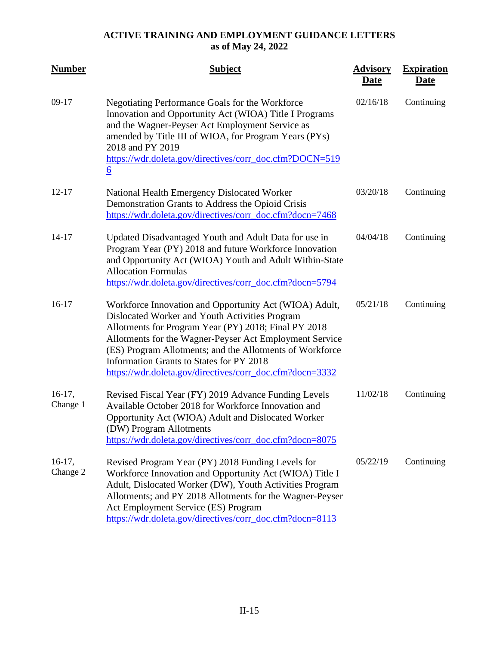| <b>Number</b>        | <b>Subject</b>                                                                                                                                                                                                                                                                                                                                                                                  | <b>Advisory</b><br><b>Date</b> | <b>Expiration</b><br><b>Date</b> |
|----------------------|-------------------------------------------------------------------------------------------------------------------------------------------------------------------------------------------------------------------------------------------------------------------------------------------------------------------------------------------------------------------------------------------------|--------------------------------|----------------------------------|
| $09-17$              | Negotiating Performance Goals for the Workforce<br>Innovation and Opportunity Act (WIOA) Title I Programs<br>and the Wagner-Peyser Act Employment Service as<br>amended by Title III of WIOA, for Program Years (PYs)<br>2018 and PY 2019<br>https://wdr.doleta.gov/directives/corr_doc.cfm?DOCN=519<br>$\underline{6}$                                                                         | 02/16/18                       | Continuing                       |
| $12 - 17$            | National Health Emergency Dislocated Worker<br>Demonstration Grants to Address the Opioid Crisis<br>https://wdr.doleta.gov/directives/corr_doc.cfm?docn=7468                                                                                                                                                                                                                                    | 03/20/18                       | Continuing                       |
| $14 - 17$            | Updated Disadvantaged Youth and Adult Data for use in<br>Program Year (PY) 2018 and future Workforce Innovation<br>and Opportunity Act (WIOA) Youth and Adult Within-State<br><b>Allocation Formulas</b><br>https://wdr.doleta.gov/directives/corr_doc.cfm?docn=5794                                                                                                                            | 04/04/18                       | Continuing                       |
| $16-17$              | Workforce Innovation and Opportunity Act (WIOA) Adult,<br>Dislocated Worker and Youth Activities Program<br>Allotments for Program Year (PY) 2018; Final PY 2018<br>Allotments for the Wagner-Peyser Act Employment Service<br>(ES) Program Allotments; and the Allotments of Workforce<br>Information Grants to States for PY 2018<br>https://wdr.doleta.gov/directives/corr_doc.cfm?docn=3332 | 05/21/18                       | Continuing                       |
| $16-17,$<br>Change 1 | Revised Fiscal Year (FY) 2019 Advance Funding Levels<br>Available October 2018 for Workforce Innovation and<br>Opportunity Act (WIOA) Adult and Dislocated Worker<br>(DW) Program Allotments<br>https://wdr.doleta.gov/directives/corr_doc.cfm?docn=8075                                                                                                                                        | 11/02/18                       | Continuing                       |
| $16-17,$<br>Change 2 | Revised Program Year (PY) 2018 Funding Levels for<br>Workforce Innovation and Opportunity Act (WIOA) Title I<br>Adult, Dislocated Worker (DW), Youth Activities Program<br>Allotments; and PY 2018 Allotments for the Wagner-Peyser<br>Act Employment Service (ES) Program<br>https://wdr.doleta.gov/directives/corr_doc.cfm?docn=8113                                                          | 05/22/19                       | Continuing                       |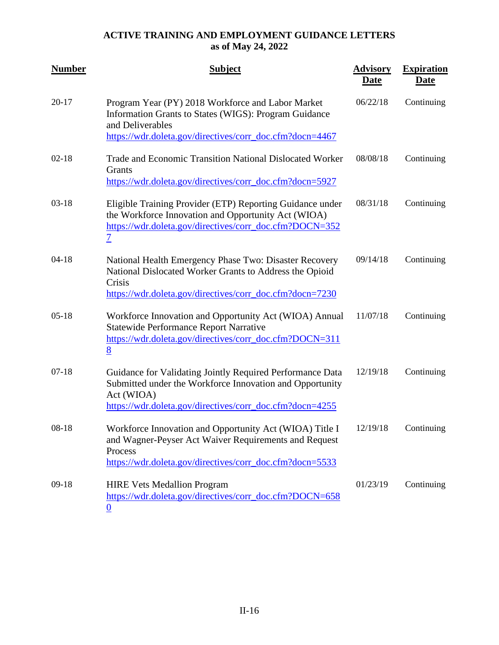| <b>Number</b> | <b>Subject</b>                                                                                                                                                                                  | <b>Advisory</b><br><b>Date</b> | <b>Expiration</b><br><b>Date</b> |
|---------------|-------------------------------------------------------------------------------------------------------------------------------------------------------------------------------------------------|--------------------------------|----------------------------------|
| $20 - 17$     | Program Year (PY) 2018 Workforce and Labor Market<br>Information Grants to States (WIGS): Program Guidance<br>and Deliverables<br>https://wdr.doleta.gov/directives/corr_doc.cfm?docn=4467      | 06/22/18                       | Continuing                       |
| $02-18$       | Trade and Economic Transition National Dislocated Worker<br>Grants<br>https://wdr.doleta.gov/directives/corr_doc.cfm?docn=5927                                                                  | 08/08/18                       | Continuing                       |
| $03-18$       | Eligible Training Provider (ETP) Reporting Guidance under<br>the Workforce Innovation and Opportunity Act (WIOA)<br>https://wdr.doleta.gov/directives/corr_doc.cfm?DOCN=352<br>$\overline{1}$   | 08/31/18                       | Continuing                       |
| $04 - 18$     | National Health Emergency Phase Two: Disaster Recovery<br>National Dislocated Worker Grants to Address the Opioid<br>Crisis<br>https://wdr.doleta.gov/directives/corr_doc.cfm?docn=7230         | 09/14/18                       | Continuing                       |
| $05-18$       | Workforce Innovation and Opportunity Act (WIOA) Annual<br><b>Statewide Performance Report Narrative</b><br>https://wdr.doleta.gov/directives/corr_doc.cfm?DOCN=311<br>8                         | 11/07/18                       | Continuing                       |
| $07-18$       | Guidance for Validating Jointly Required Performance Data<br>Submitted under the Workforce Innovation and Opportunity<br>Act (WIOA)<br>https://wdr.doleta.gov/directives/corr_doc.cfm?docn=4255 | 12/19/18                       | Continuing                       |
| $08 - 18$     | Workforce Innovation and Opportunity Act (WIOA) Title I<br>and Wagner-Peyser Act Waiver Requirements and Request<br>Process<br>https://wdr.doleta.gov/directives/corr_doc.cfm?docn=5533         | 12/19/18                       | Continuing                       |
| $09-18$       | <b>HIRE Vets Medallion Program</b><br>https://wdr.doleta.gov/directives/corr_doc.cfm?DOCN=658<br>$\boldsymbol{0}$                                                                               | 01/23/19                       | Continuing                       |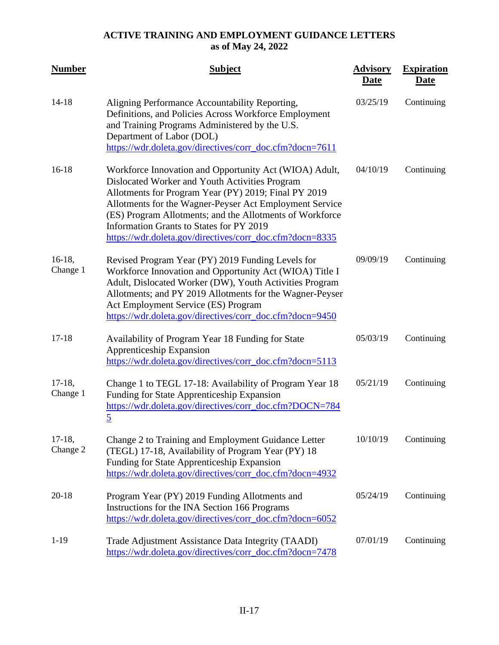| <b>Number</b>         | <b>Subject</b>                                                                                                                                                                                                                                                                                                                                                                                  | <b>Advisory</b><br><b>Date</b> | <b>Expiration</b><br><b>Date</b> |
|-----------------------|-------------------------------------------------------------------------------------------------------------------------------------------------------------------------------------------------------------------------------------------------------------------------------------------------------------------------------------------------------------------------------------------------|--------------------------------|----------------------------------|
| $14 - 18$             | Aligning Performance Accountability Reporting,<br>Definitions, and Policies Across Workforce Employment<br>and Training Programs Administered by the U.S.<br>Department of Labor (DOL)<br>https://wdr.doleta.gov/directives/corr_doc.cfm?docn=7611                                                                                                                                              | 03/25/19                       | Continuing                       |
| $16-18$               | Workforce Innovation and Opportunity Act (WIOA) Adult,<br>Dislocated Worker and Youth Activities Program<br>Allotments for Program Year (PY) 2019; Final PY 2019<br>Allotments for the Wagner-Peyser Act Employment Service<br>(ES) Program Allotments; and the Allotments of Workforce<br>Information Grants to States for PY 2019<br>https://wdr.doleta.gov/directives/corr_doc.cfm?docn=8335 | 04/10/19                       | Continuing                       |
| $16-18,$<br>Change 1  | Revised Program Year (PY) 2019 Funding Levels for<br>Workforce Innovation and Opportunity Act (WIOA) Title I<br>Adult, Dislocated Worker (DW), Youth Activities Program<br>Allotments; and PY 2019 Allotments for the Wagner-Peyser<br>Act Employment Service (ES) Program<br>https://wdr.doleta.gov/directives/corr_doc.cfm?docn=9450                                                          | 09/09/19                       | Continuing                       |
| $17 - 18$             | Availability of Program Year 18 Funding for State<br><b>Apprenticeship Expansion</b><br>https://wdr.doleta.gov/directives/corr_doc.cfm?docn=5113                                                                                                                                                                                                                                                | 05/03/19                       | Continuing                       |
| $17-18$ ,<br>Change 1 | Change 1 to TEGL 17-18: Availability of Program Year 18<br>Funding for State Apprenticeship Expansion<br>https://wdr.doleta.gov/directives/corr_doc.cfm?DOCN=784<br>$\overline{5}$                                                                                                                                                                                                              | 05/21/19                       | Continuing                       |
| $17-18$ ,<br>Change 2 | Change 2 to Training and Employment Guidance Letter<br>(TEGL) 17-18, Availability of Program Year (PY) 18<br>Funding for State Apprenticeship Expansion<br>https://wdr.doleta.gov/directives/corr_doc.cfm?docn=4932                                                                                                                                                                             | 10/10/19                       | Continuing                       |
| $20 - 18$             | Program Year (PY) 2019 Funding Allotments and<br>Instructions for the INA Section 166 Programs<br>https://wdr.doleta.gov/directives/corr_doc.cfm?docn=6052                                                                                                                                                                                                                                      | 05/24/19                       | Continuing                       |
| $1-19$                | Trade Adjustment Assistance Data Integrity (TAADI)<br>https://wdr.doleta.gov/directives/corr_doc.cfm?docn=7478                                                                                                                                                                                                                                                                                  | 07/01/19                       | Continuing                       |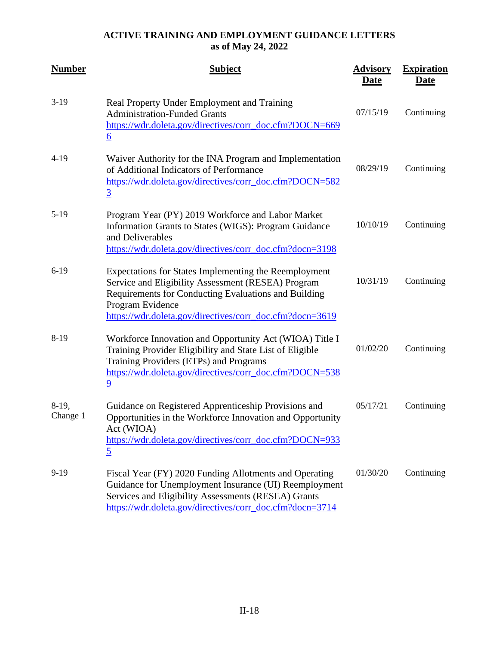| <b>Number</b>        | <b>Subject</b>                                                                                                                                                                                                                                      | <b>Advisory</b><br><b>Date</b> | <b>Expiration</b><br><b>Date</b> |
|----------------------|-----------------------------------------------------------------------------------------------------------------------------------------------------------------------------------------------------------------------------------------------------|--------------------------------|----------------------------------|
| $3-19$               | Real Property Under Employment and Training<br><b>Administration-Funded Grants</b><br>https://wdr.doleta.gov/directives/corr_doc.cfm?DOCN=669<br>$\underline{6}$                                                                                    | 07/15/19                       | Continuing                       |
| $4-19$               | Waiver Authority for the INA Program and Implementation<br>of Additional Indicators of Performance<br>https://wdr.doleta.gov/directives/corr_doc.cfm?DOCN=582<br>$\overline{3}$                                                                     | 08/29/19                       | Continuing                       |
| $5-19$               | Program Year (PY) 2019 Workforce and Labor Market<br>Information Grants to States (WIGS): Program Guidance<br>and Deliverables<br>https://wdr.doleta.gov/directives/corr_doc.cfm?docn=3198                                                          | 10/10/19                       | Continuing                       |
| $6-19$               | Expectations for States Implementing the Reemployment<br>Service and Eligibility Assessment (RESEA) Program<br>Requirements for Conducting Evaluations and Building<br>Program Evidence<br>https://wdr.doleta.gov/directives/corr_doc.cfm?docn=3619 | 10/31/19                       | Continuing                       |
| $8-19$               | Workforce Innovation and Opportunity Act (WIOA) Title I<br>Training Provider Eligibility and State List of Eligible<br>Training Providers (ETPs) and Programs<br>https://wdr.doleta.gov/directives/corr_doc.cfm?DOCN=538<br>$\overline{9}$          | 01/02/20                       | Continuing                       |
| $8-19$ ,<br>Change 1 | Guidance on Registered Apprenticeship Provisions and<br>Opportunities in the Workforce Innovation and Opportunity<br>Act (WIOA)<br>https://wdr.doleta.gov/directives/corr_doc.cfm?DOCN=933<br>$\overline{5}$                                        | 05/17/21                       | Continuing                       |
| $9-19$               | Fiscal Year (FY) 2020 Funding Allotments and Operating<br>Guidance for Unemployment Insurance (UI) Reemployment<br>Services and Eligibility Assessments (RESEA) Grants<br>https://wdr.doleta.gov/directives/corr_doc.cfm?docn=3714                  | 01/30/20                       | Continuing                       |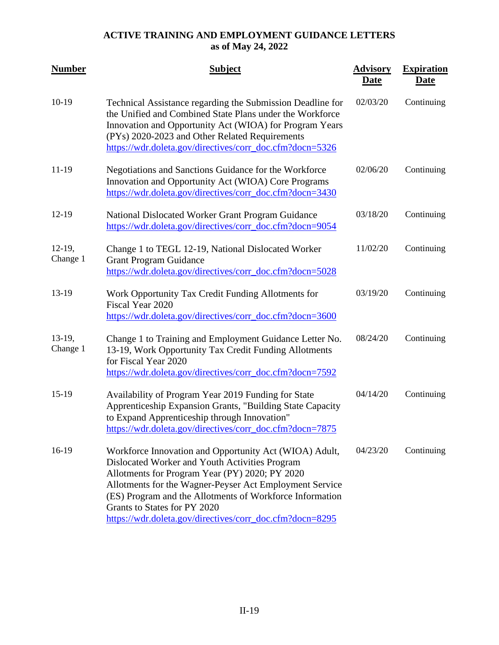| <b>Number</b>         | <b>Subject</b>                                                                                                                                                                                                                                                                                                                                                                | <b>Advisory</b><br><b>Date</b> | <b>Expiration</b><br><u>Date</u> |
|-----------------------|-------------------------------------------------------------------------------------------------------------------------------------------------------------------------------------------------------------------------------------------------------------------------------------------------------------------------------------------------------------------------------|--------------------------------|----------------------------------|
| $10-19$               | Technical Assistance regarding the Submission Deadline for<br>the Unified and Combined State Plans under the Workforce<br>Innovation and Opportunity Act (WIOA) for Program Years<br>(PYs) 2020-2023 and Other Related Requirements<br>https://wdr.doleta.gov/directives/corr_doc.cfm?docn=5326                                                                               | 02/03/20                       | Continuing                       |
| $11-19$               | Negotiations and Sanctions Guidance for the Workforce<br>Innovation and Opportunity Act (WIOA) Core Programs<br>https://wdr.doleta.gov/directives/corr_doc.cfm?docn=3430                                                                                                                                                                                                      | 02/06/20                       | Continuing                       |
| $12-19$               | National Dislocated Worker Grant Program Guidance<br>https://wdr.doleta.gov/directives/corr_doc.cfm?docn=9054                                                                                                                                                                                                                                                                 | 03/18/20                       | Continuing                       |
| $12-19$ ,<br>Change 1 | Change 1 to TEGL 12-19, National Dislocated Worker<br><b>Grant Program Guidance</b><br>https://wdr.doleta.gov/directives/corr_doc.cfm?docn=5028                                                                                                                                                                                                                               | 11/02/20                       | Continuing                       |
| 13-19                 | Work Opportunity Tax Credit Funding Allotments for<br>Fiscal Year 2020<br>https://wdr.doleta.gov/directives/corr_doc.cfm?docn=3600                                                                                                                                                                                                                                            | 03/19/20                       | Continuing                       |
| $13-19,$<br>Change 1  | Change 1 to Training and Employment Guidance Letter No.<br>13-19, Work Opportunity Tax Credit Funding Allotments<br>for Fiscal Year 2020<br>https://wdr.doleta.gov/directives/corr_doc.cfm?docn=7592                                                                                                                                                                          | 08/24/20                       | Continuing                       |
| $15-19$               | Availability of Program Year 2019 Funding for State<br>Apprenticeship Expansion Grants, "Building State Capacity<br>to Expand Apprenticeship through Innovation"<br>https://wdr.doleta.gov/directives/corr_doc.cfm?docn=7875                                                                                                                                                  | 04/14/20                       | Continuing                       |
| $16-19$               | Workforce Innovation and Opportunity Act (WIOA) Adult,<br>Dislocated Worker and Youth Activities Program<br>Allotments for Program Year (PY) 2020; PY 2020<br>Allotments for the Wagner-Peyser Act Employment Service<br>(ES) Program and the Allotments of Workforce Information<br>Grants to States for PY 2020<br>https://wdr.doleta.gov/directives/corr_doc.cfm?docn=8295 | 04/23/20                       | Continuing                       |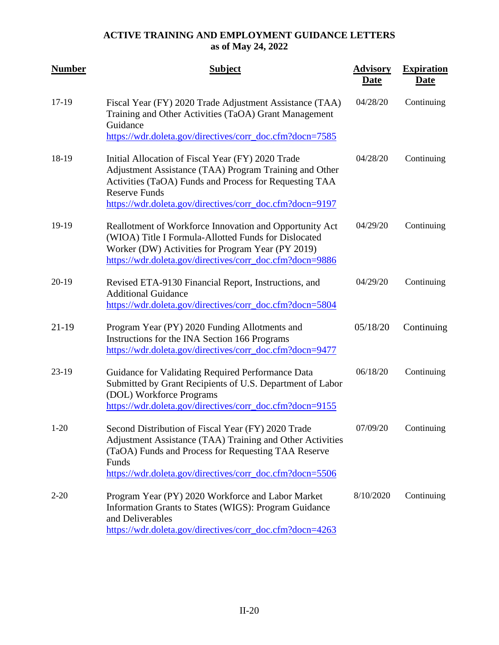| <b>Number</b> | <b>Subject</b>                                                                                                                                                                                                                                            | <b>Advisory</b><br><b>Date</b> | <b>Expiration</b><br><u>Date</u> |
|---------------|-----------------------------------------------------------------------------------------------------------------------------------------------------------------------------------------------------------------------------------------------------------|--------------------------------|----------------------------------|
| 17-19         | Fiscal Year (FY) 2020 Trade Adjustment Assistance (TAA)<br>Training and Other Activities (TaOA) Grant Management<br>Guidance                                                                                                                              | 04/28/20                       | Continuing                       |
|               | https://wdr.doleta.gov/directives/corr_doc.cfm?docn=7585                                                                                                                                                                                                  |                                |                                  |
| 18-19         | Initial Allocation of Fiscal Year (FY) 2020 Trade<br>Adjustment Assistance (TAA) Program Training and Other<br>Activities (TaOA) Funds and Process for Requesting TAA<br><b>Reserve Funds</b><br>https://wdr.doleta.gov/directives/corr_doc.cfm?docn=9197 | 04/28/20                       | Continuing                       |
| 19-19         | Reallotment of Workforce Innovation and Opportunity Act<br>(WIOA) Title I Formula-Allotted Funds for Dislocated<br>Worker (DW) Activities for Program Year (PY 2019)<br>https://wdr.doleta.gov/directives/corr_doc.cfm?docn=9886                          | 04/29/20                       | Continuing                       |
| $20-19$       | Revised ETA-9130 Financial Report, Instructions, and<br><b>Additional Guidance</b><br>https://wdr.doleta.gov/directives/corr_doc.cfm?docn=5804                                                                                                            | 04/29/20                       | Continuing                       |
| $21-19$       | Program Year (PY) 2020 Funding Allotments and<br>Instructions for the INA Section 166 Programs<br>https://wdr.doleta.gov/directives/corr_doc.cfm?docn=9477                                                                                                | 05/18/20                       | Continuing                       |
| $23-19$       | Guidance for Validating Required Performance Data<br>Submitted by Grant Recipients of U.S. Department of Labor<br>(DOL) Workforce Programs<br>https://wdr.doleta.gov/directives/corr_doc.cfm?docn=9155                                                    | 06/18/20                       | Continuing                       |
| $1 - 20$      | Second Distribution of Fiscal Year (FY) 2020 Trade<br>Adjustment Assistance (TAA) Training and Other Activities<br>(TaOA) Funds and Process for Requesting TAA Reserve<br>Funds                                                                           | 07/09/20                       | Continuing                       |
|               | https://wdr.doleta.gov/directives/corr_doc.cfm?docn=5506                                                                                                                                                                                                  |                                |                                  |
| $2 - 20$      | Program Year (PY) 2020 Workforce and Labor Market<br>Information Grants to States (WIGS): Program Guidance<br>and Deliverables<br>https://wdr.doleta.gov/directives/corr_doc.cfm?docn=4263                                                                | 8/10/2020                      | Continuing                       |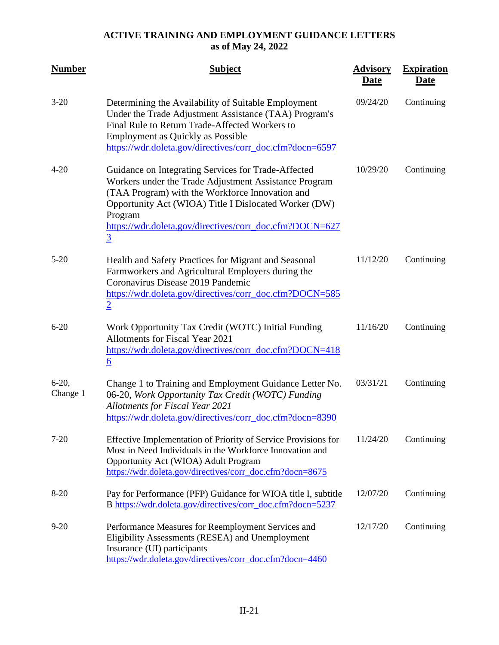| <b>Number</b>       | <b>Subject</b>                                                                                                                                                                                                                                                                                                   | <b>Advisory</b><br><b>Date</b> | <b>Expiration</b><br><b>Date</b> |
|---------------------|------------------------------------------------------------------------------------------------------------------------------------------------------------------------------------------------------------------------------------------------------------------------------------------------------------------|--------------------------------|----------------------------------|
| $3 - 20$            | Determining the Availability of Suitable Employment<br>Under the Trade Adjustment Assistance (TAA) Program's<br>Final Rule to Return Trade-Affected Workers to<br><b>Employment as Quickly as Possible</b><br>https://wdr.doleta.gov/directives/corr_doc.cfm?docn=6597                                           | 09/24/20                       | Continuing                       |
| $4 - 20$            | Guidance on Integrating Services for Trade-Affected<br>Workers under the Trade Adjustment Assistance Program<br>(TAA Program) with the Workforce Innovation and<br>Opportunity Act (WIOA) Title I Dislocated Worker (DW)<br>Program<br>https://wdr.doleta.gov/directives/corr_doc.cfm?DOCN=627<br>$\overline{3}$ | 10/29/20                       | Continuing                       |
| $5 - 20$            | Health and Safety Practices for Migrant and Seasonal<br>Farmworkers and Agricultural Employers during the<br>Coronavirus Disease 2019 Pandemic<br>https://wdr.doleta.gov/directives/corr_doc.cfm?DOCN=585<br>$\overline{2}$                                                                                      | 11/12/20                       | Continuing                       |
| $6 - 20$            | Work Opportunity Tax Credit (WOTC) Initial Funding<br>Allotments for Fiscal Year 2021<br>https://wdr.doleta.gov/directives/corr_doc.cfm?DOCN=418<br>$\underline{6}$                                                                                                                                              | 11/16/20                       | Continuing                       |
| $6-20,$<br>Change 1 | Change 1 to Training and Employment Guidance Letter No.<br>06-20, Work Opportunity Tax Credit (WOTC) Funding<br><b>Allotments for Fiscal Year 2021</b><br>https://wdr.doleta.gov/directives/corr_doc.cfm?docn=8390                                                                                               | 03/31/21                       | Continuing                       |
| $7 - 20$            | Effective Implementation of Priority of Service Provisions for<br>Most in Need Individuals in the Workforce Innovation and<br>Opportunity Act (WIOA) Adult Program<br>https://wdr.doleta.gov/directives/corr_doc.cfm?docn=8675                                                                                   | 11/24/20                       | Continuing                       |
| $8 - 20$            | Pay for Performance (PFP) Guidance for WIOA title I, subtitle<br>B https://wdr.doleta.gov/directives/corr_doc.cfm?docn=5237                                                                                                                                                                                      | 12/07/20                       | Continuing                       |
| $9 - 20$            | Performance Measures for Reemployment Services and<br>Eligibility Assessments (RESEA) and Unemployment<br>Insurance (UI) participants<br>https://wdr.doleta.gov/directives/corr_doc.cfm?docn=4460                                                                                                                | 12/17/20                       | Continuing                       |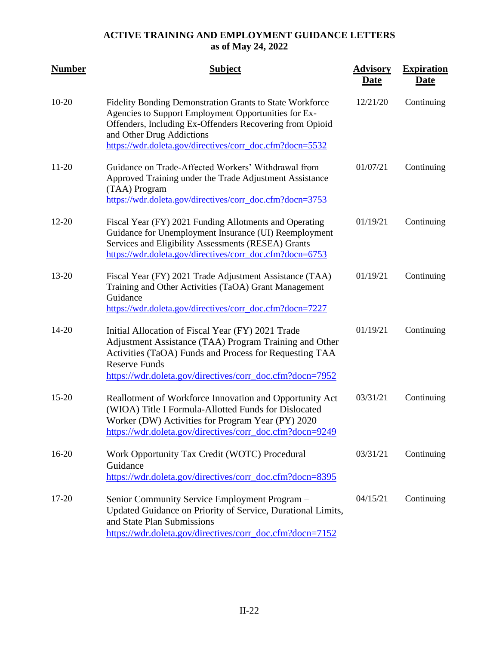| <b>Number</b> | <b>Subject</b>                                                                                                                                                                                                                                                        | <b>Advisory</b><br><b>Date</b> | <b>Expiration</b><br><u>Date</u> |
|---------------|-----------------------------------------------------------------------------------------------------------------------------------------------------------------------------------------------------------------------------------------------------------------------|--------------------------------|----------------------------------|
| $10-20$       | Fidelity Bonding Demonstration Grants to State Workforce<br>Agencies to Support Employment Opportunities for Ex-<br>Offenders, Including Ex-Offenders Recovering from Opioid<br>and Other Drug Addictions<br>https://wdr.doleta.gov/directives/corr_doc.cfm?docn=5532 | 12/21/20                       | Continuing                       |
| $11 - 20$     | Guidance on Trade-Affected Workers' Withdrawal from<br>Approved Training under the Trade Adjustment Assistance<br>(TAA) Program<br>https://wdr.doleta.gov/directives/corr_doc.cfm?docn=3753                                                                           | 01/07/21                       | Continuing                       |
| $12 - 20$     | Fiscal Year (FY) 2021 Funding Allotments and Operating<br>Guidance for Unemployment Insurance (UI) Reemployment<br>Services and Eligibility Assessments (RESEA) Grants<br>https://wdr.doleta.gov/directives/corr_doc.cfm?docn=6753                                    | 01/19/21                       | Continuing                       |
| 13-20         | Fiscal Year (FY) 2021 Trade Adjustment Assistance (TAA)<br>Training and Other Activities (TaOA) Grant Management<br>Guidance<br>https://wdr.doleta.gov/directives/corr_doc.cfm?docn=7227                                                                              | 01/19/21                       | Continuing                       |
| 14-20         | Initial Allocation of Fiscal Year (FY) 2021 Trade<br>Adjustment Assistance (TAA) Program Training and Other<br>Activities (TaOA) Funds and Process for Requesting TAA<br><b>Reserve Funds</b><br>https://wdr.doleta.gov/directives/corr_doc.cfm?docn=7952             | 01/19/21                       | Continuing                       |
| $15 - 20$     | Reallotment of Workforce Innovation and Opportunity Act<br>(WIOA) Title I Formula-Allotted Funds for Dislocated<br>Worker (DW) Activities for Program Year (PY) 2020<br>https://wdr.doleta.gov/directives/corr_doc.cfm?docn=9249                                      | 03/31/21                       | Continuing                       |
| $16-20$       | Work Opportunity Tax Credit (WOTC) Procedural<br>Guidance<br>https://wdr.doleta.gov/directives/corr_doc.cfm?docn=8395                                                                                                                                                 | 03/31/21                       | Continuing                       |
| $17 - 20$     | Senior Community Service Employment Program -<br>Updated Guidance on Priority of Service, Durational Limits,<br>and State Plan Submissions<br>https://wdr.doleta.gov/directives/corr_doc.cfm?docn=7152                                                                | 04/15/21                       | Continuing                       |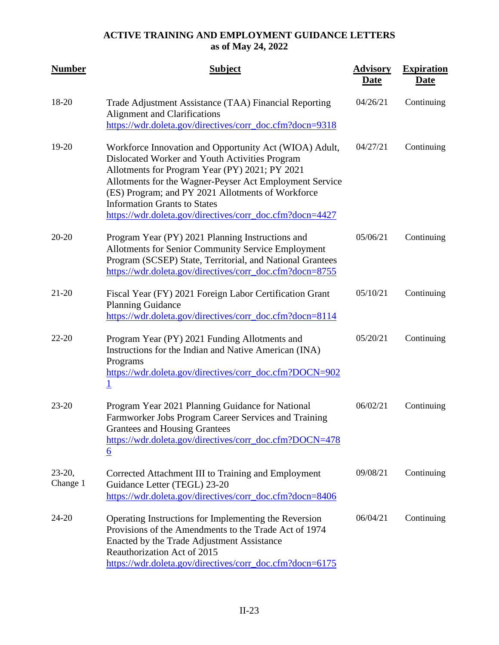| <b>Number</b>        | <b>Subject</b>                                                                                                                                                                                                                                                                                                                                                                | <b>Advisory</b><br><b>Date</b> | <b>Expiration</b><br><b>Date</b> |
|----------------------|-------------------------------------------------------------------------------------------------------------------------------------------------------------------------------------------------------------------------------------------------------------------------------------------------------------------------------------------------------------------------------|--------------------------------|----------------------------------|
| 18-20                | Trade Adjustment Assistance (TAA) Financial Reporting<br><b>Alignment and Clarifications</b><br>https://wdr.doleta.gov/directives/corr_doc.cfm?docn=9318                                                                                                                                                                                                                      | 04/26/21                       | Continuing                       |
| 19-20                | Workforce Innovation and Opportunity Act (WIOA) Adult,<br>Dislocated Worker and Youth Activities Program<br>Allotments for Program Year (PY) 2021; PY 2021<br>Allotments for the Wagner-Peyser Act Employment Service<br>(ES) Program; and PY 2021 Allotments of Workforce<br><b>Information Grants to States</b><br>https://wdr.doleta.gov/directives/corr_doc.cfm?docn=4427 | 04/27/21                       | Continuing                       |
| $20 - 20$            | Program Year (PY) 2021 Planning Instructions and<br><b>Allotments for Senior Community Service Employment</b><br>Program (SCSEP) State, Territorial, and National Grantees<br>https://wdr.doleta.gov/directives/corr_doc.cfm?docn=8755                                                                                                                                        | 05/06/21                       | Continuing                       |
| $21 - 20$            | Fiscal Year (FY) 2021 Foreign Labor Certification Grant<br><b>Planning Guidance</b><br>https://wdr.doleta.gov/directives/corr_doc.cfm?docn=8114                                                                                                                                                                                                                               | 05/10/21                       | Continuing                       |
| $22 - 20$            | Program Year (PY) 2021 Funding Allotments and<br>Instructions for the Indian and Native American (INA)<br>Programs<br>https://wdr.doleta.gov/directives/corr_doc.cfm?DOCN=902<br>$\overline{1}$                                                                                                                                                                               | 05/20/21                       | Continuing                       |
| $23 - 20$            | Program Year 2021 Planning Guidance for National<br>Farmworker Jobs Program Career Services and Training<br><b>Grantees and Housing Grantees</b><br>https://wdr.doleta.gov/directives/corr_doc.cfm?DOCN=478<br>$6 \overline{6}$                                                                                                                                               | 06/02/21                       | Continuing                       |
| $23-20,$<br>Change 1 | Corrected Attachment III to Training and Employment<br>Guidance Letter (TEGL) 23-20<br>https://wdr.doleta.gov/directives/corr_doc.cfm?docn=8406                                                                                                                                                                                                                               | 09/08/21                       | Continuing                       |
| 24-20                | Operating Instructions for Implementing the Reversion<br>Provisions of the Amendments to the Trade Act of 1974<br>Enacted by the Trade Adjustment Assistance<br>Reauthorization Act of 2015<br>https://wdr.doleta.gov/directives/corr_doc.cfm?docn=6175                                                                                                                       | 06/04/21                       | Continuing                       |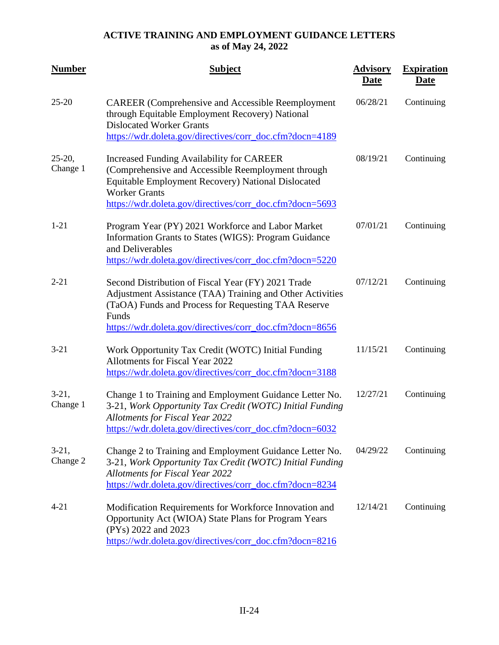| <b>Number</b>        | <b>Subject</b>                                                                                                                                                                                                                                          | <b>Advisory</b><br><b>Date</b> | <b>Expiration</b><br><b>Date</b> |
|----------------------|---------------------------------------------------------------------------------------------------------------------------------------------------------------------------------------------------------------------------------------------------------|--------------------------------|----------------------------------|
| $25 - 20$            | <b>CAREER</b> (Comprehensive and Accessible Reemployment<br>through Equitable Employment Recovery) National<br><b>Dislocated Worker Grants</b><br>https://wdr.doleta.gov/directives/corr_doc.cfm?docn=4189                                              | 06/28/21                       | Continuing                       |
| $25-20,$<br>Change 1 | <b>Increased Funding Availability for CAREER</b><br>(Comprehensive and Accessible Reemployment through<br><b>Equitable Employment Recovery) National Dislocated</b><br><b>Worker Grants</b><br>https://wdr.doleta.gov/directives/corr_doc.cfm?docn=5693 | 08/19/21                       | Continuing                       |
| $1 - 21$             | Program Year (PY) 2021 Workforce and Labor Market<br>Information Grants to States (WIGS): Program Guidance<br>and Deliverables<br>https://wdr.doleta.gov/directives/corr_doc.cfm?docn=5220                                                              | 07/01/21                       | Continuing                       |
| $2 - 21$             | Second Distribution of Fiscal Year (FY) 2021 Trade<br>Adjustment Assistance (TAA) Training and Other Activities<br>(TaOA) Funds and Process for Requesting TAA Reserve<br>Funds<br>https://wdr.doleta.gov/directives/corr_doc.cfm?docn=8656             | 07/12/21                       | Continuing                       |
| $3 - 21$             | Work Opportunity Tax Credit (WOTC) Initial Funding<br><b>Allotments for Fiscal Year 2022</b><br>https://wdr.doleta.gov/directives/corr_doc.cfm?docn=3188                                                                                                | 11/15/21                       | Continuing                       |
| $3-21,$<br>Change 1  | Change 1 to Training and Employment Guidance Letter No.<br>3-21, Work Opportunity Tax Credit (WOTC) Initial Funding<br><b>Allotments for Fiscal Year 2022</b><br>https://wdr.doleta.gov/directives/corr_doc.cfm?docn=6032                               | 12/27/21                       | Continuing                       |
| $3-21,$<br>Change 2  | Change 2 to Training and Employment Guidance Letter No.<br>3-21, Work Opportunity Tax Credit (WOTC) Initial Funding<br><b>Allotments for Fiscal Year 2022</b><br>https://wdr.doleta.gov/directives/corr_doc.cfm?docn=8234                               | 04/29/22                       | Continuing                       |
| $4 - 21$             | Modification Requirements for Workforce Innovation and<br>Opportunity Act (WIOA) State Plans for Program Years<br>(PYs) 2022 and 2023<br>https://wdr.doleta.gov/directives/corr_doc.cfm?docn=8216                                                       | 12/14/21                       | Continuing                       |